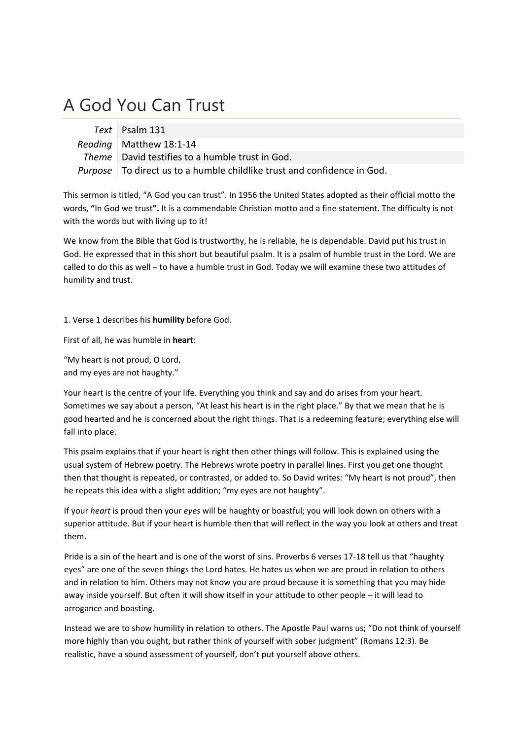## A God You Can Trust

| Text   Psalm 131                                                          |
|---------------------------------------------------------------------------|
| Reading   Matthew 18:1-14                                                 |
| Theme   David testifies to a humble trust in God.                         |
| Purpose   To direct us to a humble childlike trust and confidence in God. |

This sermon is titled, "A God you can trust". In 1956 the United States adopted as their official motto the words, **"**In God we trust**".** It is a commendable Christian motto and a fine statement. The difficulty is not with the words but with living up to it!

We know from the Bible that God is trustworthy, he is reliable, he is dependable. David put his trust in God. He expressed that in this short but beautiful psalm. It is a psalm of humble trust in the Lord. We are called to do this as well – to have a humble trust in God. Today we will examine these two attitudes of humility and trust.

1. Verse 1 describes his **humility** before God.

First of all, he was humble in **heart**:

"My heart is not proud, O Lord, and my eyes are not haughty."

Your heart is the centre of your life. Everything you think and say and do arises from your heart. Sometimes we say about a person, "At least his heart is in the right place." By that we mean that he is good hearted and he is concerned about the right things. That is a redeeming feature; everything else will fall into place.

This psalm explains that if your heart is right then other things will follow. This is explained using the usual system of Hebrew poetry. The Hebrews wrote poetry in parallel lines. First you get one thought then that thought is repeated, or contrasted, or added to. So David writes: "My heart is not proud", then he repeats this idea with a slight addition; "my eyes are not haughty".

If your *heart* is proud then your *eyes* will be haughty or boastful; you will look down on others with a superior attitude. But if your heart is humble then that will reflect in the way you look at others and treat them.

Pride is a sin of the heart and is one of the worst of sins. Proverbs 6 verses 17‐18 tell us that "haughty eyes" are one of the seven things the Lord hates. He hates us when we are proud in relation to others and in relation to him. Others may not know you are proud because it is something that you may hide away inside yourself. But often it will show itself in your attitude to other people – it will lead to arrogance and boasting.

Instead we are to show humility in relation to others. The Apostle Paul warns us; "Do not think of yourself more highly than you ought, but rather think of yourself with sober judgment" (Romans 12:3). Be realistic, have a sound assessment of yourself, don't put yourself above others.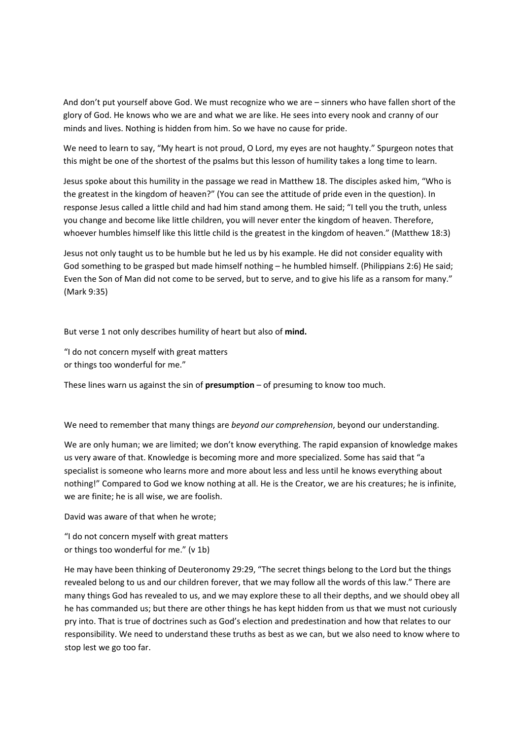And don't put yourself above God. We must recognize who we are – sinners who have fallen short of the glory of God. He knows who we are and what we are like. He sees into every nook and cranny of our minds and lives. Nothing is hidden from him. So we have no cause for pride.

We need to learn to say, "My heart is not proud, O Lord, my eyes are not haughty." Spurgeon notes that this might be one of the shortest of the psalms but this lesson of humility takes a long time to learn.

Jesus spoke about this humility in the passage we read in Matthew 18. The disciples asked him, "Who is the greatest in the kingdom of heaven?" (You can see the attitude of pride even in the question). In response Jesus called a little child and had him stand among them. He said; "I tell you the truth, unless you change and become like little children, you will never enter the kingdom of heaven. Therefore, whoever humbles himself like this little child is the greatest in the kingdom of heaven." (Matthew 18:3)

Jesus not only taught us to be humble but he led us by his example. He did not consider equality with God something to be grasped but made himself nothing – he humbled himself. (Philippians 2:6) He said; Even the Son of Man did not come to be served, but to serve, and to give his life as a ransom for many." (Mark 9:35)

But verse 1 not only describes humility of heart but also of **mind.**

"I do not concern myself with great matters or things too wonderful for me."

These lines warn us against the sin of **presumption** – of presuming to know too much.

We need to remember that many things are *beyond our comprehension*, beyond our understanding.

We are only human; we are limited; we don't know everything. The rapid expansion of knowledge makes us very aware of that. Knowledge is becoming more and more specialized. Some has said that "a specialist is someone who learns more and more about less and less until he knows everything about nothing!" Compared to God we know nothing at all. He is the Creator, we are his creatures; he is infinite, we are finite; he is all wise, we are foolish.

David was aware of that when he wrote;

"I do not concern myself with great matters or things too wonderful for me." (v 1b)

He may have been thinking of Deuteronomy 29:29, "The secret things belong to the Lord but the things revealed belong to us and our children forever, that we may follow all the words of this law." There are many things God has revealed to us, and we may explore these to all their depths, and we should obey all he has commanded us; but there are other things he has kept hidden from us that we must not curiously pry into. That is true of doctrines such as God's election and predestination and how that relates to our responsibility. We need to understand these truths as best as we can, but we also need to know where to stop lest we go too far.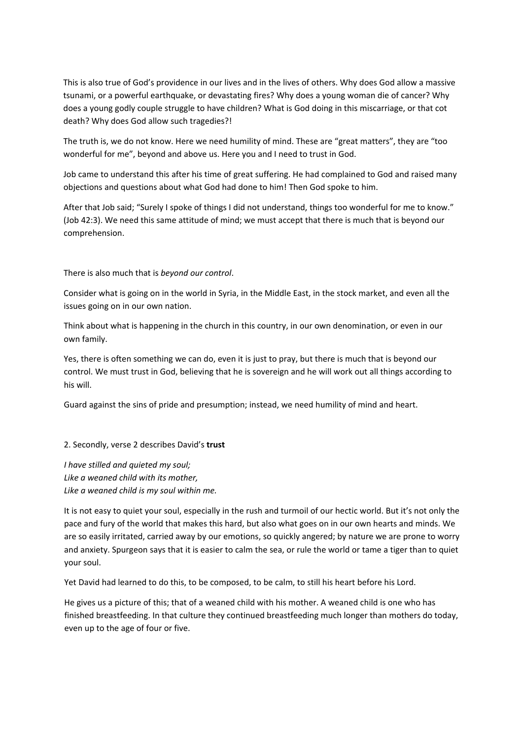This is also true of God's providence in our lives and in the lives of others. Why does God allow a massive tsunami, or a powerful earthquake, or devastating fires? Why does a young woman die of cancer? Why does a young godly couple struggle to have children? What is God doing in this miscarriage, or that cot death? Why does God allow such tragedies?!

The truth is, we do not know. Here we need humility of mind. These are "great matters", they are "too wonderful for me", beyond and above us. Here you and I need to trust in God.

Job came to understand this after his time of great suffering. He had complained to God and raised many objections and questions about what God had done to him! Then God spoke to him.

After that Job said; "Surely I spoke of things I did not understand, things too wonderful for me to know." (Job 42:3). We need this same attitude of mind; we must accept that there is much that is beyond our comprehension.

## There is also much that is *beyond our control*.

Consider what is going on in the world in Syria, in the Middle East, in the stock market, and even all the issues going on in our own nation.

Think about what is happening in the church in this country, in our own denomination, or even in our own family.

Yes, there is often something we can do, even it is just to pray, but there is much that is beyond our control. We must trust in God, believing that he is sovereign and he will work out all things according to his will.

Guard against the sins of pride and presumption; instead, we need humility of mind and heart.

## 2. Secondly, verse 2 describes David's **trust**

*I have stilled and quieted my soul; Like a weaned child with its mother, Like a weaned child is my soul within me.*

It is not easy to quiet your soul, especially in the rush and turmoil of our hectic world. But it's not only the pace and fury of the world that makes this hard, but also what goes on in our own hearts and minds. We are so easily irritated, carried away by our emotions, so quickly angered; by nature we are prone to worry and anxiety. Spurgeon says that it is easier to calm the sea, or rule the world or tame a tiger than to quiet your soul.

Yet David had learned to do this, to be composed, to be calm, to still his heart before his Lord.

He gives us a picture of this; that of a weaned child with his mother. A weaned child is one who has finished breastfeeding. In that culture they continued breastfeeding much longer than mothers do today, even up to the age of four or five.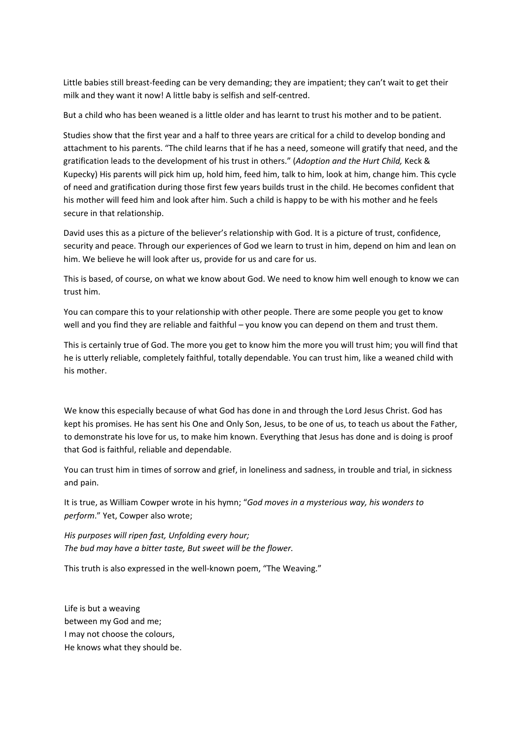Little babies still breast-feeding can be very demanding; they are impatient; they can't wait to get their milk and they want it now! A little baby is selfish and self‐centred.

But a child who has been weaned is a little older and has learnt to trust his mother and to be patient.

Studies show that the first year and a half to three years are critical for a child to develop bonding and attachment to his parents. "The child learns that if he has a need, someone will gratify that need, and the gratification leads to the development of his trust in others." (*Adoption and the Hurt Child,* Keck & Kupecky) His parents will pick him up, hold him, feed him, talk to him, look at him, change him. This cycle of need and gratification during those first few years builds trust in the child. He becomes confident that his mother will feed him and look after him. Such a child is happy to be with his mother and he feels secure in that relationship.

David uses this as a picture of the believer's relationship with God. It is a picture of trust, confidence, security and peace. Through our experiences of God we learn to trust in him, depend on him and lean on him. We believe he will look after us, provide for us and care for us.

This is based, of course, on what we know about God. We need to know him well enough to know we can trust him.

You can compare this to your relationship with other people. There are some people you get to know well and you find they are reliable and faithful – you know you can depend on them and trust them.

This is certainly true of God. The more you get to know him the more you will trust him; you will find that he is utterly reliable, completely faithful, totally dependable. You can trust him, like a weaned child with his mother.

We know this especially because of what God has done in and through the Lord Jesus Christ. God has kept his promises. He has sent his One and Only Son, Jesus, to be one of us, to teach us about the Father, to demonstrate his love for us, to make him known. Everything that Jesus has done and is doing is proof that God is faithful, reliable and dependable.

You can trust him in times of sorrow and grief, in loneliness and sadness, in trouble and trial, in sickness and pain.

It is true, as William Cowper wrote in his hymn; "*God moves in a mysterious way, his wonders to perform*." Yet, Cowper also wrote;

*His purposes will ripen fast, Unfolding every hour; The bud may have a bitter taste, But sweet will be the flower.*

This truth is also expressed in the well-known poem, "The Weaving."

Life is but a weaving between my God and me; I may not choose the colours, He knows what they should be.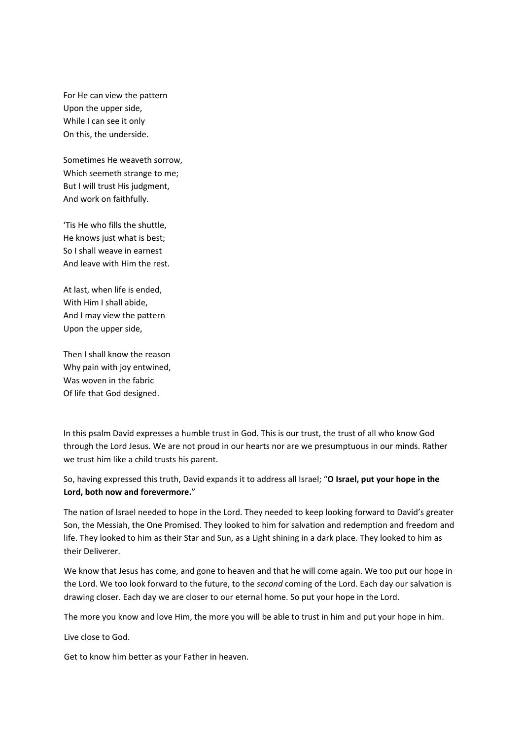For He can view the pattern Upon the upper side, While I can see it only On this, the underside.

Sometimes He weaveth sorrow, Which seemeth strange to me; But I will trust His judgment, And work on faithfully.

'Tis He who fills the shuttle, He knows just what is best; So I shall weave in earnest And leave with Him the rest.

At last, when life is ended, With Him I shall abide, And I may view the pattern Upon the upper side,

Then I shall know the reason Why pain with joy entwined, Was woven in the fabric Of life that God designed.

In this psalm David expresses a humble trust in God. This is our trust, the trust of all who know God through the Lord Jesus. We are not proud in our hearts nor are we presumptuous in our minds. Rather we trust him like a child trusts his parent.

So, having expressed this truth, David expands it to address all Israel; "**O Israel, put your hope in the Lord, both now and forevermore.**"

The nation of Israel needed to hope in the Lord. They needed to keep looking forward to David's greater Son, the Messiah, the One Promised. They looked to him for salvation and redemption and freedom and life. They looked to him as their Star and Sun, as a Light shining in a dark place. They looked to him as their Deliverer.

We know that Jesus has come, and gone to heaven and that he will come again. We too put our hope in the Lord. We too look forward to the future, to the *second* coming of the Lord. Each day our salvation is drawing closer. Each day we are closer to our eternal home. So put your hope in the Lord.

The more you know and love Him, the more you will be able to trust in him and put your hope in him.

Live close to God.

Get to know him better as your Father in heaven.